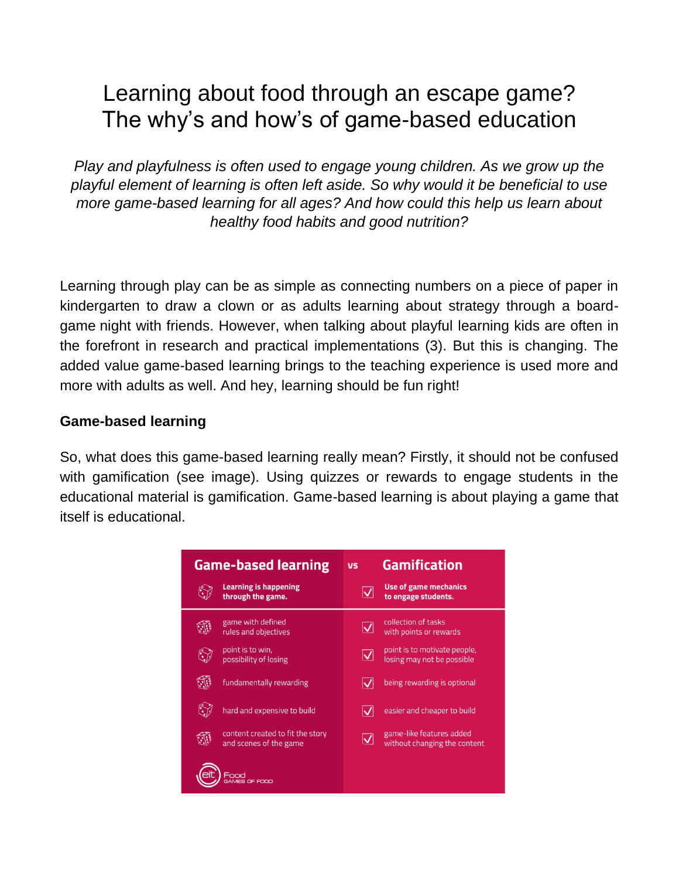# Learning about food through an escape game? The why's and how's of game-based education

*Play and playfulness is often used to engage young children. As we grow up the playful element of learning is often left aside. So why would it be beneficial to use more game-based learning for all ages? And how could this help us learn about healthy food habits and good nutrition?*

Learning through play can be as simple as connecting numbers on a piece of paper in kindergarten to draw a clown or as adults learning about strategy through a boardgame night with friends. However, when talking about playful learning kids are often in the forefront in research and practical implementations (3). But this is changing. The added value game-based learning brings to the teaching experience is used more and more with adults as well. And hey, learning should be fun right!

#### **Game-based learning**

So, what does this game-based learning really mean? Firstly, it should not be confused with gamification (see image). Using quizzes or rewards to engage students in the educational material is gamification. Game-based learning is about playing a game that itself is educational.

| <b>Game-based learning</b>                                 | <b>VS</b>                    | <b>Gamification</b>                                        |
|------------------------------------------------------------|------------------------------|------------------------------------------------------------|
| <b>Learning is happening</b><br>through the game.          |                              | <b>Use of game mechanics</b><br>to engage students.        |
| game with defined<br>rules and objectives                  | $\overline{\mathsf{v}}$      | collection of tasks<br>with points or rewards              |
| point is to win,<br>possibility of losing                  | $\overline{\bm{\mathsf{v}}}$ | point is to motivate people,<br>losing may not be possible |
| fundamentally rewarding                                    |                              | being rewarding is optional                                |
| hard and expensive to build                                |                              | easier and cheaper to build                                |
| content created to fit the story<br>and scenes of the game | $\overline{\mathsf{v}}$      | game-like features added<br>without changing the content   |
| <b>FOOD</b>                                                |                              |                                                            |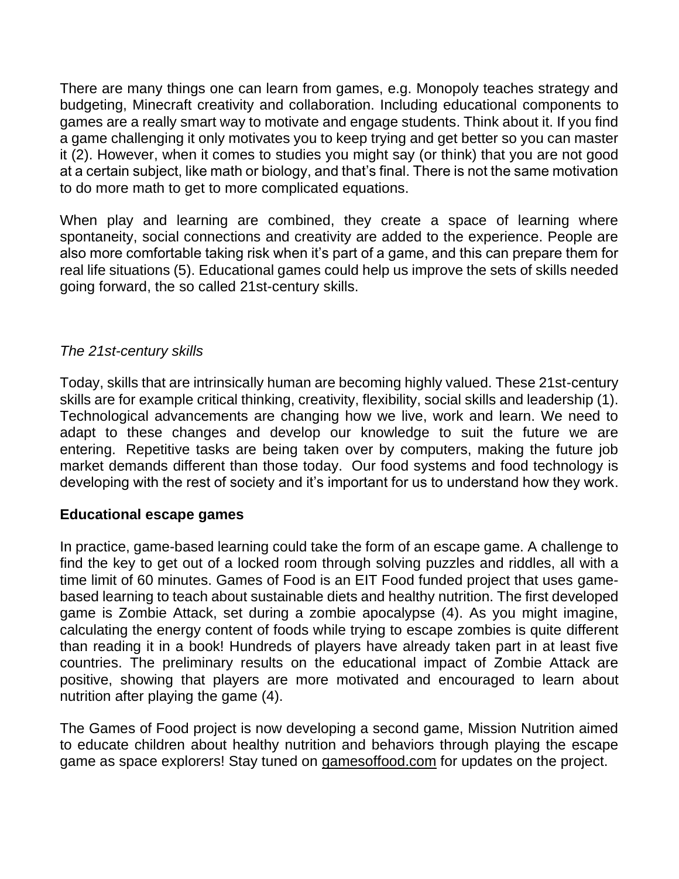There are many things one can learn from games, e.g. Monopoly teaches strategy and budgeting, Minecraft creativity and collaboration. Including educational components to games are a really smart way to motivate and engage students. Think about it. If you find a game challenging it only motivates you to keep trying and get better so you can master it (2). However, when it comes to studies you might say (or think) that you are not good at a certain subject, like math or biology, and that's final. There is not the same motivation to do more math to get to more complicated equations.

When play and learning are combined, they create a space of learning where spontaneity, social connections and creativity are added to the experience. People are also more comfortable taking risk when it's part of a game, and this can prepare them for real life situations (5). Educational games could help us improve the sets of skills needed going forward, the so called 21st-century skills.

### *The 21st-century skills*

Today, skills that are intrinsically human are becoming highly valued. These 21st-century skills are for example critical thinking, creativity, flexibility, social skills and leadership (1). Technological advancements are changing how we live, work and learn. We need to adapt to these changes and develop our knowledge to suit the future we are entering. Repetitive tasks are being taken over by computers, making the future job market demands different than those today. Our food systems and food technology is developing with the rest of society and it's important for us to understand how they work.

### **Educational escape games**

In practice, game-based learning could take the form of an escape game. A challenge to find the key to get out of a locked room through solving puzzles and riddles, all with a time limit of 60 minutes. Games of Food is an EIT Food funded project that uses gamebased learning to teach about sustainable diets and healthy nutrition. The first developed game is Zombie Attack, set during a zombie apocalypse (4). As you might imagine, calculating the energy content of foods while trying to escape zombies is quite different than reading it in a book! Hundreds of players have already taken part in at least five countries. The preliminary results on the educational impact of Zombie Attack are positive, showing that players are more motivated and encouraged to learn about nutrition after playing the game (4).

The Games of Food project is now developing a second game, Mission Nutrition aimed to educate children about healthy nutrition and behaviors through playing the escape game as space explorers! Stay tuned on gamesoffood.com for updates on the project.